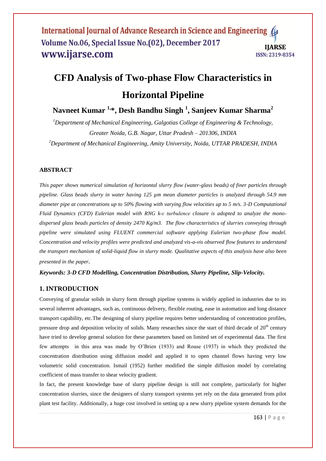# **CFD Analysis of Two-phase Flow Characteristics in Horizontal Pipeline**

**Navneet Kumar 1, \* , Desh Bandhu Singh <sup>1</sup> , Sanjeev Kumar Sharma<sup>2</sup>**

*<sup>1</sup>Department of Mechanical Engineering, Galgotias College of Engineering & Technology, Greater Noida, G.B. Nagar, Uttar Pradesh – 201306, INDIA*

*<sup>2</sup>Department of Mechanical Engineering, Amity University, Noida, UTTAR PRADESH, INDIA*

## **ABSTRACT**

*This paper shows numerical simulation of horizontal slurry flow (water-glass beads) of finer particles through pipeline. Glass beads slurry in water having 125 µm mean diameter particles is analyzed through 54.9 mm diameter pipe at concentrations up to 50% flowing with varying flow velocities up to 5 m/s. 3-D Computational Fluid Dynamics (CFD) Eulerian model with RNG k-ε turbulence closure is adopted to analyze the monodispersed glass beads particles of density 2470 Kg/m3. The flow characteristics of slurries conveying through pipeline were simulated using FLUENT commercial software applying Eulerian two-phase flow model. Concentration and velocity profiles were predicted and analyzed vis-a-vis observed flow features to understand the transport mechanism of solid-liquid flow in slurry mode. Qualitative aspects of this analysis have also been presented in the paper.* 

*Keywords: 3-D CFD Modelling, Concentration Distribution, Slurry Pipeline, Slip-Velocity.*

# **1. INTRODUCTION**

Conveying of granular solids in slurry form through pipeline systems is widely applied in industries due to its several inherent advantages, such as, continuous delivery, flexible routing, ease in automation and long distance transport capability, etc.The designing of slurry pipeline requires better understanding of concentration profiles, pressure drop and deposition velocity of solids. Many researches since the start of third decade of  $20<sup>th</sup>$  century have tried to develop general solution for these parameters based on limited set of experimental data. The first few attempts in this area was made by O"Brien (1933) and Rouse (1937) in which they predicted the concentration distribution using diffusion model and applied it to open channel flows having very low volumetric solid concentration. Ismail (1952) further modified the simple diffusion model by correlating coefficient of mass transfer to shear velocity gradient.

In fact, the present knowledge base of slurry pipeline design is still not complete, particularly for higher concentration slurries, since the designers of slurry transport systems yet rely on the data generated from pilot plant test facility. Additionally, a huge cost involved in setting up a new slurry pipeline system demands for the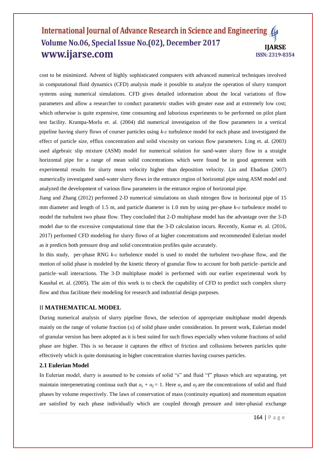cost to be minimized. Advent of highly sophisticated computers with advanced numerical techniques involved in computational fluid dynamics (CFD) analysis made it possible to analyze the operation of slurry transport systems using numerical simulations. CFD gives detailed information about the local variations of flow parameters and allow a researcher to conduct parametric studies with greater ease and at extremely low cost; which otherwise is quite expensive, time consuming and laborious experiments to be performed on pilot plant test facility. Krampa-Morlu et. al. (2004) did numerical investigation of the flow parameters in a vertical pipeline having slurry flows of courser particles using *k-ε* turbulence model for each phase and investigated the effect of particle size, efflux concentration and solid viscosity on various flow parameters. Ling et. al. (2003) used algebraic slip mixture (ASM) model for numerical solution for sand-water slurry flow in a straight horizontal pipe for a range of mean solid concentrations which were found be in good agreement with experimental results for slurry mean velocity higher than deposition velocity. Lin and Ebadian (2007) numerically investigated sand-water slurry flows in the entrance region of horizontal pipe using ASM model and analyzed the development of various flow parameters in the entrance region of horizontal pipe.

Jiang and Zhang (2012) performed 2-D numerical simulations on slush nitrogen flow in horizontal pipe of 15 mm diameter and length of 1.5 m, and particle diameter is 1.0 mm by using per-phase *k-ε* turbulence model to model the turbulent two phase flow. They concluded that 2-D multiphase model has the advantage over the 3-D model due to the excessive computational time that the 3-D calculation incurs. Recently, Kumar et. al. (2016, 2017) performed CFD modeling for slurry flows of at higher concentrations and recommended Eulerian model as it predicts both pressure drop and solid concentration profiles quite accurately.

In this study, per-phase RNG *k-ε* turbulence model is used to model the turbulent two-phase flow, and the motion of solid phase is modeled by the kinetic theory of granular flow to account for both particle–particle and particle–wall interactions. The 3-D multiphase model is performed with our earlier experimental work by Kaushal et. al. (2005). The aim of this work is to check the capability of CFD to predict such complex slurry flow and thus facilitate their modeling for research and industrial design purposes.

## II **MATHEMATICAL MODEL**

During numerical analysis of slurry pipeline flows, the selection of appropriate multiphase model depends mainly on the range of volume fraction (*α*) of solid phase under consideration. In present work, Eulerian model of granular version has been adopted as it is best suited for such flows especially when volume fractions of solid phase are higher. This is so because it captures the effect of friction and collusions between particles quite effectively which is quite dominating in higher concentration slurries having courses particles.

#### **2.1 Eulerian Model**

In Eulerian model, slurry is assumed to be consists of solid "s" and fluid "f" phases which are separating, yet maintain interpenetrating continua such that  $\alpha_s + \alpha_f = 1$ . Here  $\alpha_s$  and  $\alpha_f$  are the concentrations of solid and fluid phases by volume respectively. The laws of conservation of mass (continuity equation) and momentum equation are satisfied by each phase individually which are coupled through pressure and inter-phasial exchange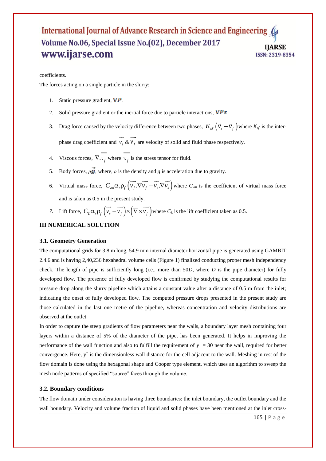#### coefficients.

The forces acting on a single particle in the slurry:

- 1. Static pressure gradient,  $\nabla P$ .
- 2. Solid pressure gradient or the inertial force due to particle interactions,  $\nabla Ps$
- 3. Drag force caused by the velocity difference between two phases,  $K_{sf}(\vec{v}_s \vec{v}_f)$  where  $K_{sf}$  is the interphase drag coefficient and  $v_s$  $\rightarrow$ & *f v*  $\overline{\phantom{a}}$ are velocity of solid and fluid phase respectively.
- 4. Viscous forces,  $\nabla \cdot \tau_f$  where  $\tau_f$  is the stress tensor for fluid.
- 5. Body forces,  $\rho \vec{g}$ , where,  $\rho$  is the density and *g* is acceleration due to gravity.  $\rightarrow$   $\rightarrow$   $\rightarrow$   $\rightarrow$   $\rightarrow$
- 6. Virtual mass force,  $C_{vm} \alpha_s \rho_f \left( \overrightarrow{v_f} \cdot \nabla \overrightarrow{v_g} \cdot \nabla \overrightarrow{v_s} \right)$ where  $C_{vm}$  is the coefficient of virtual mass force and is taken as 0.5 in the present study. the present study.<br>  $\rightarrow$   $\rightarrow$   $\rightarrow$
- *7.* Lift force,  $C_L \alpha_s \rho_f \left( \overrightarrow{v_s} \overrightarrow{v_f} \right) \times \left( \nabla \times \overrightarrow{v_f} \right)$ where  $C_L$  is the lift coefficient taken as 0.5.

## **III NUMERICAL SOLUTION**

#### **3.1. Geometry Generation**

The computational grids for 3.8 m long, 54.9 mm internal diameter horizontal pipe is generated using GAMBIT 2.4.6 and is having 2,40,236 hexahedral volume cells (Figure 1) finalized conducting proper mesh independency check. The length of pipe is sufficiently long (i.e., more than 50*D*, where *D* is the pipe diameter) for fully developed flow. The presence of fully developed flow is confirmed by studying the computational results for pressure drop along the slurry pipeline which attains a constant value after a distance of 0.5 m from the inlet; indicating the onset of fully developed flow. The computed pressure drops presented in the present study are those calculated in the last one metre of the pipeline, whereas concentration and velocity distributions are observed at the outlet.

In order to capture the steep gradients of flow parameters near the walls, a boundary layer mesh containing four layers within a distance of 5% of the diameter of the pipe, has been generated. It helps in improving the performance of the wall function and also to fulfill the requirement of  $y^+=30$  near the wall, required for better convergence. Here,  $y^+$  is the dimensionless wall distance for the cell adjacent to the wall. Meshing in rest of the flow domain is done using the hexagonal shape and Cooper type element, which uses an algorithm to sweep the mesh node patterns of specified "source" faces through the volume.

#### **3.2. Boundary conditions**

The flow domain under consideration is having three boundaries: the inlet boundary, the outlet boundary and the wall boundary. Velocity and volume fraction of liquid and solid phases have been mentioned at the inlet cross-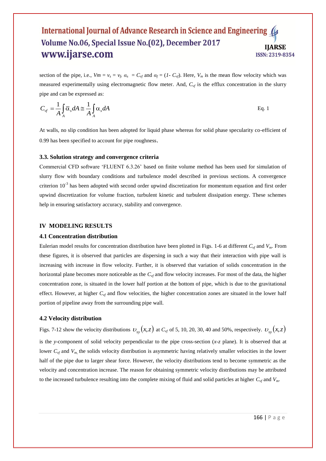section of the pipe, i.e.,  $Vm = v_s = v_f$ ,  $\alpha_s = C_{vf}$  and  $\alpha_f = (1 - C_{vf})$ . Here,  $V_m$  is the mean flow velocity which was measured experimentally using electromagnetic flow meter. And, *Cvf* is the efflux concentration in the slurry pipe and can be expressed as:

$$
C_{\nu f} = \frac{1}{A} \int_{A} \overline{\alpha}_{s} dA \cong \frac{1}{A} \int_{A} \alpha_{s} dA
$$
 Eq. 1

At walls, no slip condition has been adopted for liquid phase whereas for solid phase specularity co-efficient of 0.99 has been specified to account for pipe roughness.

#### **3.3. Solution strategy and convergence criteria**

Commercial CFD software "FLUENT 6.3.26" based on finite volume method has been used for simulation of slurry flow with boundary conditions and turbulence model described in previous sections. A convergence criterion  $10^{-3}$  has been adopted with second order upwind discretization for momentum equation and first order upwind discretization for volume fraction, turbulent kinetic and turbulent dissipation energy. These schemes help in ensuring satisfactory accuracy, stability and convergence.

#### **IV MODELING RESULTS**

#### **4.1 Concentration distribution**

Eulerian model results for concentration distribution have been plotted in Figs. 1-6 at different  $C_{\nu f}$  and  $V_m$ . From these figures, it is observed that particles are dispersing in such a way that their interaction with pipe wall is increasing with increase in flow velocity. Further, it is observed that variation of solids concentration in the horizontal plane becomes more noticeable as the *Cvf* and flow velocity increases. For most of the data, the higher concentration zone, is situated in the lower half portion at the bottom of pipe, which is due to the gravitational effect. However, at higher  $C_{vf}$  and flow velocities, the higher concentration zones are situated in the lower half portion of pipeline away from the surrounding pipe wall.

#### **4.2 Velocity distribution**

Figs. 7-12 show the velocity distributions  $v_{sy}(x, z)$  at  $C_{vf}$  of 5, 10, 20, 30, 40 and 50%, respectively.  $v_{sy}(x, z)$ is the *y*-component of solid velocity perpendicular to the pipe cross-section (*x-z* plane). It is observed that at lower  $C_{\nu f}$  and  $V_{m}$ , the solids velocity distribution is asymmetric having relatively smaller velocities in the lower half of the pipe due to larger shear force. However, the velocity distributions tend to become symmetric as the velocity and concentration increase. The reason for obtaining symmetric velocity distributions may be attributed to the increased turbulence resulting into the complete mixing of fluid and solid particles at higher *Cvf* and *Vm*.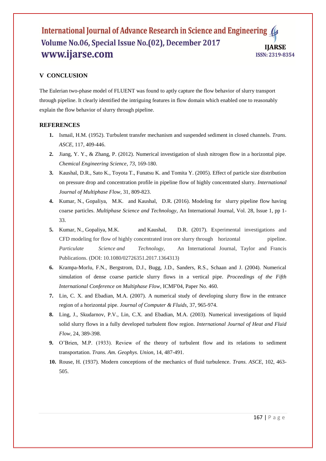# **V CONCLUSION**

The Eulerian two-phase model of FLUENT was found to aptly capture the flow behavior of slurry transport through pipeline. It clearly identified the intriguing features in flow domain which enabled one to reasonably explain the flow behavior of slurry through pipeline.

# **REFERENCES**

- **1.** Ismail, H.M. (1952). Turbulent transfer mechanism and suspended sediment in closed channels. *Trans. ASCE*, 117, 409-446.
- **2.** Jiang, Y. Y., & Zhang, P. (2012). Numerical investigation of slush nitrogen flow in a horizontal pipe. *Chemical Engineering Science*, *73*, 169-180.
- **3.** Kaushal, D.R., Sato K., Toyota T., Funatsu K. and Tomita Y. (2005). Effect of particle size distribution on pressure drop and concentration profile in pipeline flow of highly concentrated slurry. *International Journal of Multiphase Flow*, 31, 809-823.
- **4.** Kumar, N., Gopaliya, M.K. and Kaushal, D.R. (2016). Modeling for slurry pipeline flow having coarse particles. *Multiphase Science and Technology*, An International Journal, Vol. 28, Issue 1, pp 1- 33.
- **5.** Kumar, N., Gopaliya, M.K. and Kaushal, D.R. (2017). Experimental investigations and CFD modeling for flow of highly concentrated iron ore slurry through horizontal pipeline. *Particulate Science and Technology*, An International Journal, Taylor and Francis Publications. (DOI: 10.1080/02726351.2017.1364313)
- **6.** Krampa-Morlu, F.N., Bergstrom, D.J., Bugg, J.D., Sanders, R.S., Schaan and J. (2004). Numerical simulation of dense coarse particle slurry flows in a vertical pipe*. Proceedings of the Fifth International Conference on Multiphase Flow*, ICMF'04, Paper No. 460.
- **7.** Lin, C. X. and Ebadian, M.A. (2007). A numerical study of developing slurry flow in the entrance region of a horizontal pipe. *Journal of Computer & Fluids*, 37, 965-974.
- **8.** Ling, J., Skudarnov, P.V., Lin, C.X. and Ebadian, M.A. (2003). Numerical investigations of liquid solid slurry flows in a fully developed turbulent flow region. *International Journal of Heat and Fluid Flow*, 24, 389-398.
- **9.** O"Brien, M.P. (1933). Review of the theory of turbulent flow and its relations to sediment transportation. *Trans. Am. Geophys. Union*, 14, 487-491.
- **10.** Rouse, H. (1937). Modern conceptions of the mechanics of fluid turbulence. *Trans. ASCE*, 102, 463- 505.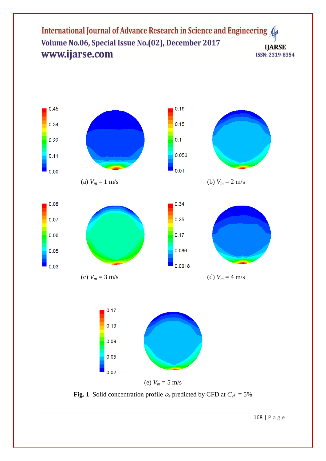

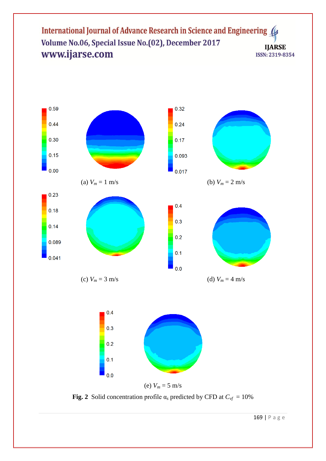



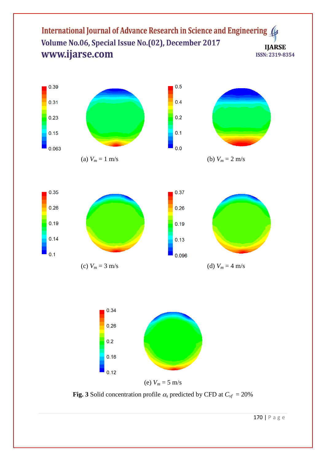



(a)  $V_m = 1 \text{ m/s}$  (b)  $V_m = 2 \text{ m/s}$ 





(e)  $V_m = 5$  m/s

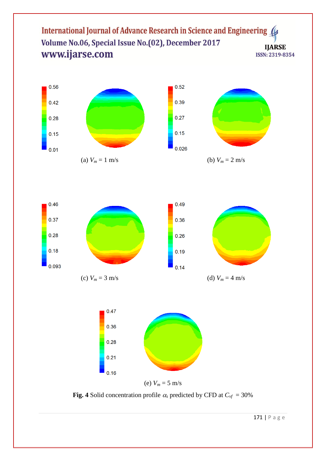





(e)  $V_m = 5$  m/s

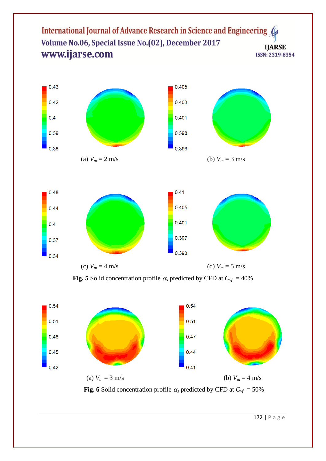



**Fig. 5** Solid concentration profile  $\alpha_s$  predicted by CFD at  $C_{\nu f} = 40\%$ 



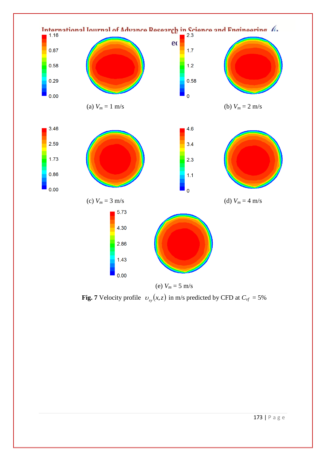

**Fig. 7** Velocity profile  $v_{sy}(x, z)$  in m/s predicted by CFD at  $C_{vf} = 5\%$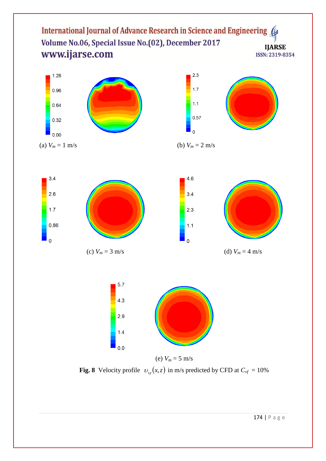



(a)  $V_m = 1 \text{ m/s}$  (b)  $V_m = 2 \text{ m/s}$ 



(c)  $V_m = 3 \text{ m/s}$  (d)  $V_m = 4 \text{ m/s}$ 





**Fig. 8** Velocity profile  $v_{sy}(x, z)$  in m/s predicted by CFD at  $C_{vf} = 10\%$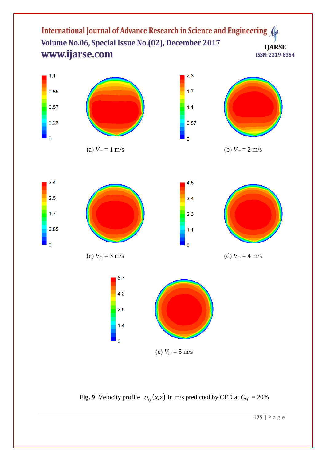

















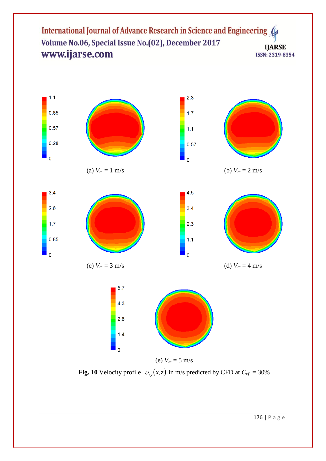

**Fig. 10** Velocity profile  $v_{sy}(x, z)$  in m/s predicted by CFD at  $C_{vf} = 30\%$